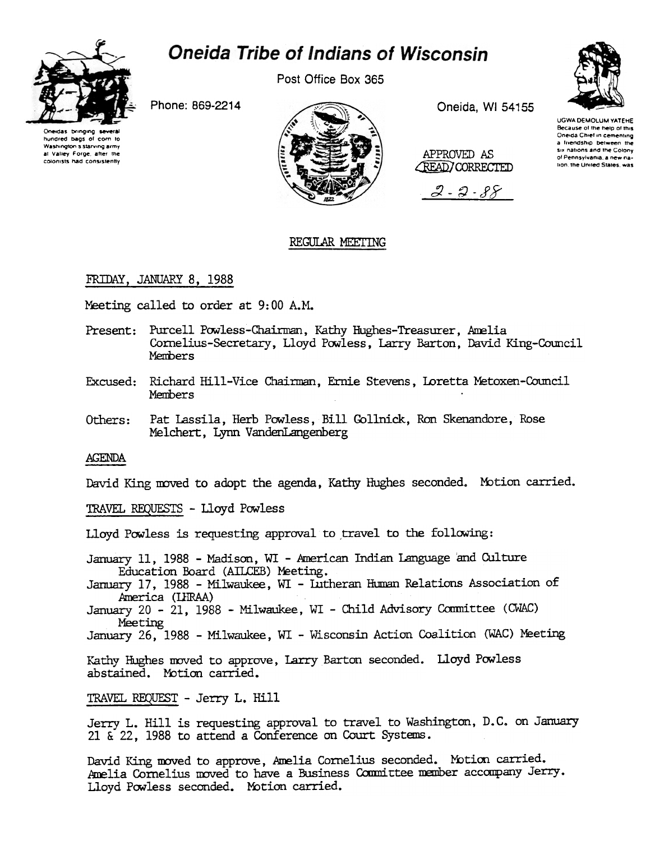



Post Office Box 365

Phone: 869-2214

Coaudes brinoino hundred bags of corn to Washington 5 starving army at Valley Forge, after the colonists had consistently



Oneida, WI 54155

APPROVED AS **CREAD** CORRECTED





of Pennsylvania, a new na-

tion, the United States, was

REGULAR MEETING

# FRIDAY, JANUARY 8, 1988

Meeting called to order at 9:00 A.M.

- Present: Purcell Powless-Chairman, Kathy Hughes-Treasurer, Amelia Cornelius-Secretary, Lloyd Powless, Larry Barton, David King-Council Members
- Excused: Richard Hill-Vice Chairman, Ernie Stevens, Loretta Metoxen-Council Members
- Others: Pat Lassila, Herb Powless, Bill Gollnick, Ron Skenandore, Rose Melchert, Lynn VandenLangenberg

**AGENDA** 

David King moved to adopt the agenda, Kathy Hughes seconded. Motion carried.

TRAVEL REQUESTS - Lloyd Powless

Lloyd Powless is requesting approval to travel to the following:

January 11, 1988 - Madison, WI - American Indian Language and Culture Education Board (AILCEB) Meeting.

January 17, 1988 - Milwaukee, WI - Lutheran Human Relations Association of America (LHRAA)

January 20 - 21, 1988 - Milwaukee, WI - Child Advisory Committee (CWAC) Meeting

January 26, 1988 - Milwaukee, WI - Wisconsin Action Coalition (WAC) Meeting

Kathy Hughes moved to approve, Larry Barton seconded. Lloyd Powless abstained. Motion carried.

TRAVEL REQUEST - Jerry L. Hill

Jerry L. Hill is requesting approval to travel to Washington, D.C. on January 21  $\&$  22, 1988 to attend a Conference on Court Systems.

David King moved to approve, Amelia Cornelius seconded. Motion carried. Amelia Cornelius moved to have a Business Committee member accompany Jerry. Lloyd Powless seconded. Motion carried.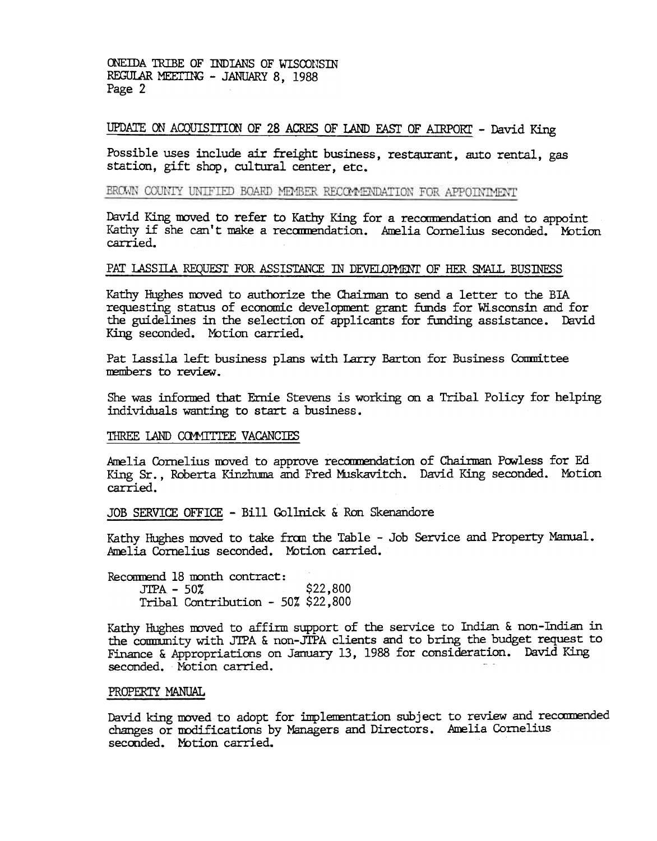ONEIDA TRIBE OF INDIANS OF WISCONSIN REGULAR MEETING - JANUARY 8, 1988 Page 2

### UPDATE ON ACQUISITION OF 28 ACRES OF LAND EAST OF AIRPORT - David King

Possible uses include air freight business, restaurant, auto rental, gas station, gift shop, cultural center, etc.

### BROWN COUNTY UNIFIED BOARD MEMBER RECOMMENDATION FOR APPOINIMENT

David King moved to refer to Kathy King for a recommendation and to appoint Kathy if she can't make a recommendation. Amelia Cornelius seconded. Motion carried.

## PAT LASSILA REQUEST FOR ASSISTANCE IN DEVELOPMENT OF HER SMALL BUSINESS

Kathy Hughes moved to authorize the Chairman to send a letter to the BIA requesting status of economic development grant funds for Wisconsin and for the guidelines in the selection of applicants for funding assistance. David King seconded. Motion carried.

Pat Lassila left business plans with Larry Barton for Business Committee members to review.

She was informed that Ernie Stevens is working on a Tribal Policy for helping individuals wanting to start a business.

#### THREE LAND COMMITTEE VACANCIES

Amelia Cornelius moved to approve recommendation of Chairman Powless for Ed King Sr., Roberta Kinzhuma and Fred Muskavitch. David King seconded. Motion carried.

### JOB SERVICE OFFICE - Bill Gollnick & Ron Skenandore

Kathy Hughes moved to take fran the Table -Job Service and Property Manual. Amelia Cornelius seconded. Motion carried.

Recommend 18 month contract:  $JTPA - 50%$  \$22,800 Tribal Contribution -50% \$22,800

Kathy Hughes moved to affirm support of the service to Indian & non-Indian in the cOmInmity with J1PA & non-JTPA clients and to bring the budget request to Finance & Appropriations on January 13, 1988 for consideration. David King seconded. Motion carried.

#### PROPERTY MANUAL

David king moved to adopt for implementation subject to review and recommended changes or modifications by Managers and Directors. Amelia Cornelius seconded. Motion carried.